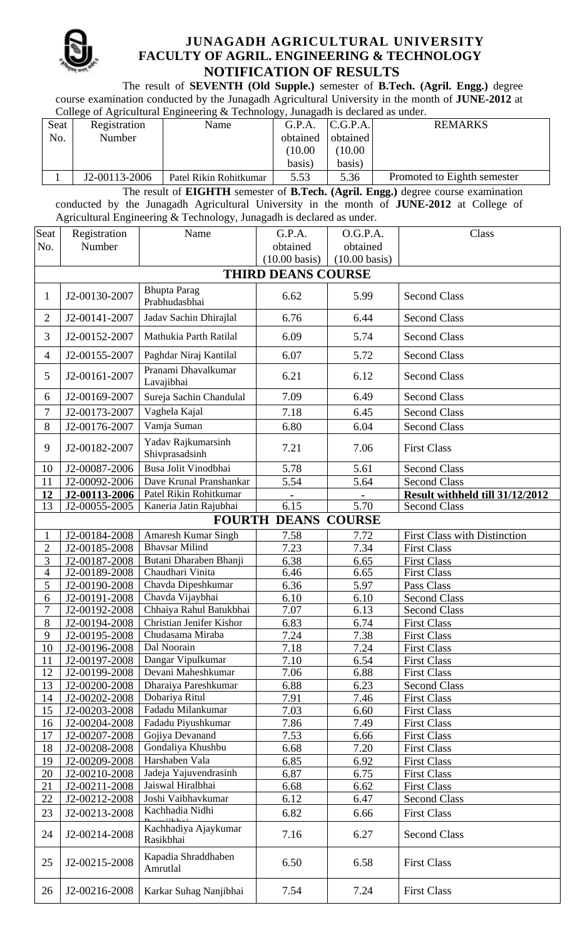

## **JUNAGADH AGRICULTURAL UNIVERSITY FACULTY OF AGRIL. ENGINEERING & TECHNOLOGY NOTIFICATION OF RESULTS**

The result of **SEVENTH (Old Supple.)** semester of **B.Tech. (Agril. Engg.)** degree course examination conducted by the Junagadh Agricultural University in the month of **JUNE-2012** at College of Agricultural Engineering & Technology, Junagadh is declared as under.

| Concess of rightentum Engineering ce recunology, cumigatin is decimed as under. |               |                        |          |          |                             |  |  |  |
|---------------------------------------------------------------------------------|---------------|------------------------|----------|----------|-----------------------------|--|--|--|
| Seat                                                                            | Registration  | Name                   | G.P.A.   | C.G.P.A. | <b>REMARKS</b>              |  |  |  |
| No.                                                                             | Number        |                        | obtained | obtained |                             |  |  |  |
|                                                                                 |               |                        | (10.00)  | 10.00    |                             |  |  |  |
|                                                                                 |               |                        | basis)   | basis)   |                             |  |  |  |
|                                                                                 | J2-00113-2006 | Patel Rikin Rohitkumar | 5.53     | 5.36     | Promoted to Eighth semester |  |  |  |

The result of **EIGHTH** semester of **B.Tech. (Agril. Engg.)** degree course examination conducted by the Junagadh Agricultural University in the month of **JUNE-2012** at College of Agricultural Engineering & Technology, Junagadh is declared as under.

| Seat                      | Registration                   | Name                                    | G.P.A.                  | O.G.P.A.                | Class                                     |  |  |  |
|---------------------------|--------------------------------|-----------------------------------------|-------------------------|-------------------------|-------------------------------------------|--|--|--|
| No.                       | Number                         |                                         | obtained                | obtained                |                                           |  |  |  |
|                           |                                |                                         | $(10.00 \text{ basis})$ | $(10.00 \text{ basis})$ |                                           |  |  |  |
| <b>THIRD DEANS COURSE</b> |                                |                                         |                         |                         |                                           |  |  |  |
| $\mathbf{1}$              | J2-00130-2007                  | <b>Bhupta Parag</b><br>Prabhudasbhai    | 6.62                    | 5.99                    | <b>Second Class</b>                       |  |  |  |
| $\overline{2}$            | J2-00141-2007                  | Jadav Sachin Dhirajlal                  | 6.76                    | 6.44                    | <b>Second Class</b>                       |  |  |  |
| 3                         | J2-00152-2007                  | Mathukia Parth Ratilal                  | 6.09                    | 5.74                    | <b>Second Class</b>                       |  |  |  |
| $\overline{4}$            | J2-00155-2007                  | Paghdar Niraj Kantilal                  | 6.07                    | 5.72                    | <b>Second Class</b>                       |  |  |  |
| 5                         | J2-00161-2007                  | Pranami Dhavalkumar<br>Lavajibhai       | 6.21                    | 6.12                    | <b>Second Class</b>                       |  |  |  |
| 6                         | J2-00169-2007                  | Sureja Sachin Chandulal                 | 7.09                    | 6.49                    | <b>Second Class</b>                       |  |  |  |
| $\overline{7}$            | J2-00173-2007                  | Vaghela Kajal                           | 7.18                    | 6.45                    | <b>Second Class</b>                       |  |  |  |
| 8                         | J2-00176-2007                  | Vamja Suman                             | 6.80                    | 6.04                    | <b>Second Class</b>                       |  |  |  |
| 9                         | J2-00182-2007                  | Yadav Rajkumarsinh<br>Shivprasadsinh    | 7.21                    | 7.06                    | <b>First Class</b>                        |  |  |  |
| 10                        | J2-00087-2006                  | Busa Jolit Vinodbhai                    | 5.78                    | 5.61                    | <b>Second Class</b>                       |  |  |  |
| 11                        | J2-00092-2006                  | Dave Krunal Pranshankar                 | 5.54                    | 5.64                    | <b>Second Class</b>                       |  |  |  |
| 12                        | J2-00113-2006                  | Patel Rikin Rohitkumar                  | $\blacksquare$          | $\blacksquare$          | Result withheld till 31/12/2012           |  |  |  |
| 13                        | J2-00055-2005                  | Kaneria Jatin Rajubhai                  | 6.15                    | 5.70                    | <b>Second Class</b>                       |  |  |  |
|                           |                                | <b>FOURTH</b>                           | <b>DEANS</b>            | <b>COURSE</b>           |                                           |  |  |  |
|                           | J2-00184-2008                  | Amaresh Kumar Singh                     | 7.58                    | 7.72                    | First Class with Distinction              |  |  |  |
| $\overline{2}$            | J2-00185-2008                  | <b>Bhavsar Milind</b>                   | 7.23                    | 7.34                    | <b>First Class</b>                        |  |  |  |
| 3                         | J2-00187-2008                  | Butani Dharaben Bhanji                  | 6.38                    | 6.65                    | <b>First Class</b>                        |  |  |  |
| $\overline{4}$            | J2-00189-2008                  | Chaudhari Vinita                        | 6.46                    | 6.65                    | <b>First Class</b>                        |  |  |  |
| 5                         | J2-00190-2008                  | Chavda Dipeshkumar                      | 6.36                    | 5.97                    | Pass Class                                |  |  |  |
| 6                         | J2-00191-2008                  | Chavda Vijaybhai                        | 6.10                    | 6.10                    | <b>Second Class</b>                       |  |  |  |
| 7                         | J2-00192-2008                  | Chhaiya Rahul Batukbhai                 | 7.07                    | 6.13                    | <b>Second Class</b>                       |  |  |  |
| 8                         | J2-00194-2008                  | Christian Jenifer Kishor                | 6.83                    | 6.74                    | <b>First Class</b>                        |  |  |  |
| 9                         | J2-00195-2008                  | Chudasama Miraba                        | 7.24                    | 7.38                    | <b>First Class</b>                        |  |  |  |
| 10                        | J2-00196-2008                  | Dal Noorain                             | 7.18                    | 7.24                    | <b>First Class</b>                        |  |  |  |
| 11                        | J2-00197-2008                  | Dangar Vipulkumar                       | 7.10                    | 6.54                    | <b>First Class</b>                        |  |  |  |
| 12                        | J2-00199-2008                  | Devani Maheshkumar                      | 7.06                    | 6.88                    | <b>First Class</b>                        |  |  |  |
| 13                        | J2-00200-2008                  | Dharaiya Pareshkumar                    | 6.88                    | 6.23                    | <b>Second Class</b>                       |  |  |  |
| 14                        | J2-00202-2008                  | Dobariya Ritul                          | 7.91                    | 7.46                    | <b>First Class</b>                        |  |  |  |
| 15                        | J2-00203-2008                  | Fadadu Milankumar                       | 7.03                    | 6.60                    | <b>First Class</b>                        |  |  |  |
| 16                        | J2-00204-2008                  | Fadadu Piyushkumar                      | 7.86                    | 7.49                    | <b>First Class</b>                        |  |  |  |
| 17                        | J2-00207-2008                  | Gojiya Devanand                         | 7.53                    | 6.66                    | <b>First Class</b>                        |  |  |  |
| 18                        | J2-00208-2008                  | Gondaliya Khushbu                       | 6.68                    | 7.20                    | <b>First Class</b>                        |  |  |  |
| 19                        | J2-00209-2008                  | Harshaben Vala<br>Jadeja Yajuvendrasinh | 6.85                    | 6.92                    | <b>First Class</b>                        |  |  |  |
| 20<br>21                  | J2-00210-2008                  | Jaiswal Hiralbhai                       | 6.87                    | 6.75                    | <b>First Class</b>                        |  |  |  |
| 22                        | J2-00211-2008<br>J2-00212-2008 | Joshi Vaibhavkumar                      | 6.68<br>6.12            | 6.62<br>6.47            | <b>First Class</b><br><b>Second Class</b> |  |  |  |
|                           |                                | Kachhadia Nidhi                         |                         |                         |                                           |  |  |  |
| 23                        | J2-00213-2008                  | Kachhadiya Ajaykumar                    | 6.82                    | 6.66                    | <b>First Class</b>                        |  |  |  |
| 24                        | J2-00214-2008                  | Rasikbhai                               | 7.16                    | 6.27                    | <b>Second Class</b>                       |  |  |  |
| 25                        | J2-00215-2008                  | Kapadia Shraddhaben<br>Amrutlal         | 6.50                    | 6.58                    | <b>First Class</b>                        |  |  |  |
| 26                        | J2-00216-2008                  | Karkar Suhag Nanjibhai                  | 7.54                    | 7.24                    | <b>First Class</b>                        |  |  |  |